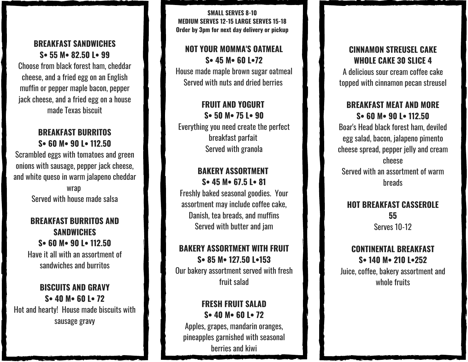#### **BREAKFAST SANDWICHES S• 55 M• 82.50 L• 99**

Choose from black forest ham, cheddar cheese, and a fried egg on an English muffin or pepper maple bacon, pepper jack cheese, and a fried egg on a house made Texas biscuit

#### **BREAKFAST BURRITOS S• 60 M• 90 L• 112.50**

Scrambled eggs with tomatoes and green onions with sausage, pepper jack cheese, and white queso in warm jalapeno cheddar

> wrap Served with house made salsa

### **BREAKFAST BURRITOS AND SANDWICHES S• 60 M• 90 L• 112.50** Have it all with an assortment of sandwiches and burritos

### **BISCUITS AND GRAVY S• 40 M• 60 L• 72** Hot and hearty! House made biscuits with sausage gravy

**SMALL SERVES 8-10 MEDIUM SERVES 12-15 LARGE SERVES 15-18 Order by 3pm for next day delivery or pickup** 

#### **NOT YOUR MOMMA'S OATMEAL S• 45 M• 60 L•72**

House made maple brown sugar oatmeal Served with nuts and dried berries

### **FRUIT AND YOGURT S• 50 M• 75 L• 90**

Everything you need create the perfect breakfast parfait Served with granola

#### **BAKERY ASSORTMENT S• 45 M• 67.5 L• 81**

Freshly baked seasonal goodies. Your assortment may include coffee cake, Danish, tea breads, and muffins Served with butter and jam

### **BAKERY ASSORTMENT WITH FRUIT S• 85 M• 127.50 L•153**

Our bakery assortment served with fresh fruit salad

### **FRESH FRUIT SALAD S• 40 M• 60 L• 72**

Apples, grapes, mandarin oranges, pineapples garnished with seasonal berries and kiwi

### **CINNAMON STREUSEL CAKE WHOLE CAKE 30 SLICE 4**

A delicious sour cream coffee cake topped with cinnamon pecan streusel

### **BREAKFAST MEAT AND MORE S• 60 M• 90 L• 112.50**

Boar's Head black forest ham, deviled egg salad, bacon, jalapeno pimento cheese spread, pepper jelly and cream cheese Served with an assortment of warm breads

### **HOT BREAKFAST CASSEROLE 55** Serves 10-12

### **CONTINENTAL BREAKFAST S• 140 M• 210 L•252**

Juice, coffee, bakery assortment and whole fruits